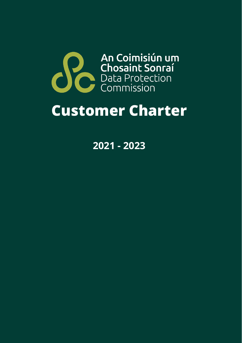

# **Customer Charter**

**2021 - 2023**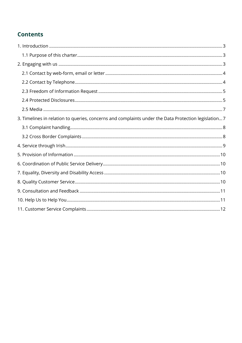# **Contents**

| 3. Timelines in relation to queries, concerns and complaints under the Data Protection legislation 7 |
|------------------------------------------------------------------------------------------------------|
|                                                                                                      |
|                                                                                                      |
|                                                                                                      |
|                                                                                                      |
|                                                                                                      |
|                                                                                                      |
|                                                                                                      |
|                                                                                                      |
|                                                                                                      |
|                                                                                                      |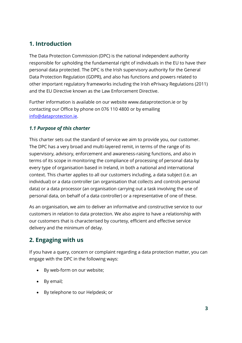# <span id="page-2-0"></span>**1. Introduction**

The Data Protection Commission (DPC) is the national independent authority responsible for upholding the fundamental right of individuals in the EU to have their personal data protected. The DPC is the Irish supervisory authority for the General Data Protection Regulation (GDPR), and also has functions and powers related to other important regulatory frameworks including the Irish ePrivacy Regulations (2011) and the EU Directive known as the Law Enforcement Directive.

Further information is available on our website [www.dataprotection.ie o](http://www.dataprotection.ie/)r by contacting our Office by phone on 076 110 4800 or by emailing [info@dataprotection.ie.](mailto:info@dataprotection.ie)

## <span id="page-2-1"></span>*1.1 Purpose of this charter*

This charter sets out the standard of service we aim to provide you, our customer. The DPC has a very broad and multi-layered remit, in terms of the range of its supervisory, advisory, enforcement and awareness-raising functions, and also in terms of its scope in monitoring the compliance of processing of personal data by every type of organisation based in Ireland, in both a national and international context. This charter applies to all our customers including, a data subject (i.e. an individual) or a data controller (an organisation that collects and controls personal data) or a data processor (an organisation carrying out a task involving the use of personal data, on behalf of a data controller) or a representative of one of these.

As an organisation, we aim to deliver an informative and constructive service to our customers in relation to data protection. We also aspire to have a relationship with our customers that is characterised by courtesy, efficient and effective service delivery and the minimum of delay.

# <span id="page-2-2"></span>**2. Engaging with us**

If you have a query, concern or complaint regarding a data protection matter, you can engage with the DPC in the following ways:

- By web-form on our website;
- By email;
- By telephone to our Helpdesk; or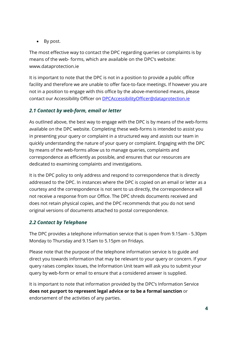• By post.

The most effective way to contact the DPC regarding queries or complaints is by means of the web- forms, which are available on the DPC's website: [www.dataprotection.ie](http://www.dataprotection.ie/)

It is important to note that the DPC is not in a position to provide a public office facility and therefore we are unable to offer face-to-face meetings. If however you are not in a position to engage with this office by the above-mentioned means, please contact our Accessibility Officer on **DPCAccessibilityOfficer@dataprotection.ie** 

## <span id="page-3-0"></span>*2.1 Contact by web-form, email or letter*

As outlined above, the best way to engage with the DPC is by means of the web-forms available on the DPC website. Completing these web-forms is intended to assist you in presenting your query or complaint in a structured way and assists our team in quickly understanding the nature of your query or complaint. Engaging with the DPC by means of the web-forms allow us to manage queries, complaints and correspondence as efficiently as possible, and ensures that our resources are dedicated to examining complaints and investigations.

It is the DPC policy to only address and respond to correspondence that is directly addressed to the DPC. In instances where the DPC is copied on an email or letter as a courtesy and the correspondence is not sent to us directly, the correspondence will not receive a response from our Office. The DPC shreds documents received and does not retain physical copies, and the DPC recommends that you do not send original versions of documents attached to postal correspondence.

## <span id="page-3-1"></span>*2.2 Contact by Telephone*

The DPC provides a telephone information service that is open from 9.15am - 5.30pm Monday to Thursday and 9.15am to 5.15pm on Fridays.

Please note that the purpose of the telephone information service is to guide and direct you towards information that may be relevant to your query or concern. If your query raises complex issues, the Information Unit team will ask you to submit your query by web-form or email to ensure that a considered answer is supplied.

It is important to note that information provided by the DPC's Information Service **does not purport to represent legal advice or to be a formal sanction** or endorsement of the activities of any parties.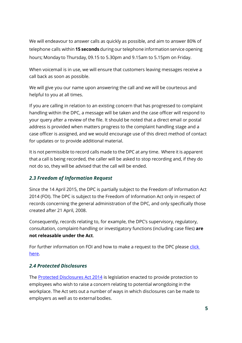We will endeavour to answer calls as quickly as possible, and aim to answer 80% of telephone calls within **15 seconds** during our telephone information service opening hours; Monday to Thursday, 09.15 to 5.30pm and 9.15am to 5.15pm on Friday.

When voicemail is in use, we will ensure that customers leaving messages receive a call back as soon as possible.

We will give you our name upon answering the call and we will be courteous and helpful to you at all times.

If you are calling in relation to an existing concern that has progressed to complaint handling within the DPC, a message will be taken and the case officer will respond to your query after a review of the file. It should be noted that a direct email or postal address is provided when matters progress to the complaint handling stage and a case officer is assigned, and we would encourage use of this direct method of contact for updates or to provide additional material.

It is not permissible to record calls made to the DPC at any time. Where it is apparent that a call is being recorded, the caller will be asked to stop recording and, if they do not do so, they will be advised that the call will be ended.

## <span id="page-4-0"></span>*2.3 Freedom of Information Request*

Since the 14 April 2015, the DPC is partially subject to the Freedom of Information Act 2014 (FOI). The DPC is subject to the Freedom of Information Act only in respect of records concerning the general administration of the DPC, and only specifically those created after 21 April, 2008.

Consequently, records relating to, for example, the DPC's supervisory, regulatory, consultation, complaint-handling or investigatory functions (including case files) **are not releasable under the Act**.

For further information on FOI and how to make a request to the DPC please click [here.](https://dataprotection.ie/en/who-we-are/corporate-governance/freedom-information)

## <span id="page-4-1"></span>*2.4 Protected Disclosures*

The [Protected Disclosures Act 2014](http://www.irishstatutebook.ie/eli/2014/act/14/enacted/en/pdf) is legislation enacted to provide protection to employees who wish to raise a concern relating to potential wrongdoing in the workplace. The Act sets out a number of ways in which disclosures can be made to employers as well as to external bodies.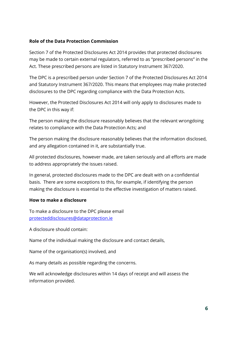### **Role of the Data Protection Commission**

Section 7 of the Protected Disclosures Act 2014 provides that protected disclosures may be made to certain external regulators, referred to as "prescribed persons" in the Act. These prescribed persons are listed in Statutory Instrument 367/2020.

The DPC is a prescribed person under Section 7 of the Protected Disclosures Act 2014 and Statutory Instrument 367/2020. This means that employees may make protected disclosures to the DPC regarding compliance with the Data Protection Acts.

However, the Protected Disclosures Act 2014 will only apply to disclosures made to the DPC in this way if:

The person making the disclosure reasonably believes that the relevant wrongdoing relates to compliance with the Data Protection Acts; and

The person making the disclosure reasonably believes that the information disclosed, and any allegation contained in it, are substantially true.

All protected disclosures, however made, are taken seriously and all efforts are made to address appropriately the issues raised.

In general, protected disclosures made to the DPC are dealt with on a confidential basis. There are some exceptions to this, for example, if identifying the person making the disclosure is essential to the effective investigation of matters raised.

#### **How to make a disclosure**

To make a disclosure to the DPC please email [protecteddisclosures@dataprotection.ie](mailto:protecteddisclosures@dataprotection.ie)

A disclosure should contain:

Name of the individual making the disclosure and contact details,

Name of the organisation(s) involved, and

As many details as possible regarding the concerns.

<span id="page-5-0"></span>We will acknowledge disclosures within 14 days of receipt and will assess the information provided.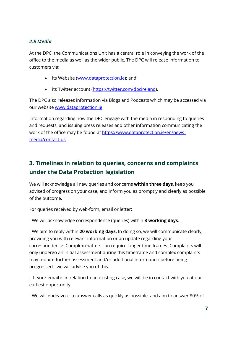## *2.5 Media*

At the DPC, the Communications Unit has a central role in conveying the work of the office to the media as well as the wider public. The DPC will release information to customers via:

- its Website [\(www.dataprotection.ie\)](http://www.dataprotection.ie/); and
- its Twitter account [\(https://twitter.com/dpcireland\)](https://twitter.com/dpcireland).

The DPC also releases information via Blogs and Podcasts which may be accessed via our website [www.dataprotection.ie](http://www.dataprotection.ie/) 

Information regarding how the DPC engage with the media in responding to queries and requests, and issuing press releases and other information communicating the work of the office may be found at [https://www.dataprotection.ie/en/news](https://www.dataprotection.ie/en/news-media/contact-us)[media/contact-us](https://www.dataprotection.ie/en/news-media/contact-us)

# <span id="page-6-0"></span>**3. Timelines in relation to queries, concerns and complaints under the Data Protection legislation**

We will acknowledge all new queries and concerns **within three days**, keep you advised of progress on your case, and inform you as promptly and clearly as possible of the outcome.

For queries received by web-form, email or letter:

- We will acknowledge correspondence (queries) within **3 working days**.

- We aim to reply within **20 working days.** In doing so, we will communicate clearly, providing you with relevant information or an update regarding your correspondence. Complex matters can require longer time frames. Complaints will only undergo an initial assessment during this timeframe and complex complaints may require further assessment and/or additional information before being progressed - we will advise you of this.

- If your email is in relation to an existing case, we will be in contact with you at our earliest opportunity.

- We will endeavour to answer calls as quickly as possible, and aim to answer 80% of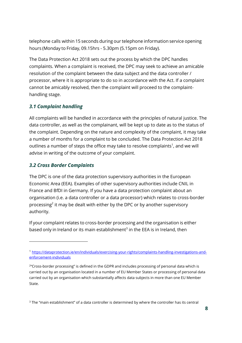telephone calls within 15 seconds during our telephone information service opening hours (Monday to Friday, 09.15hrs - 5.30pm (5.15pm on Friday).

The Data Protection Act 2018 sets out the process by which the DPC handles complaints. When a complaint is received, the DPC may seek to achieve an amicable resolution of the complaint between the data subject and the data controller / processor, where it is appropriate to do so in accordance with the Act. If a complaint cannot be amicably resolved, then the complaint will proceed to the complainthandling stage.

## <span id="page-7-0"></span>*3.1 Complaint handling*

All complaints will be handled in accordance with the principles of natural justice. The data controller, as well as the complainant, will be kept up to date as to the status of the complaint. Depending on the nature and complexity of the complaint, it may take a number of months for a complaint to be concluded. The Data Protection Act 2018 outlines a number of steps the office may take to resolve complaints $^{\intercal}$ , and we will advise in writing of the outcome of your complaint.

## <span id="page-7-1"></span>*3.2 Cross Border Complaints*

l

The DPC is one of the data protection supervisory authorities in the European Economic Area (EEA). Examples of other supervisory authorities include CNIL in France and BfDI in Germany. If you have a data protection complaint about an organisation (i.e. a data controller or a data processor) which relates to cross-border processing $^2$  it may be dealt with either by the DPC or by another supervisory authority.

If your complaint relates to cross-border processing and the organisation is either based only in Ireland or its main establishment $^3$  in the EEA is in Ireland, then

<sup>1</sup> [https://dataprotection.ie/en/individuals/exercising-your-rights/complaints-handling-investigations-and](https://dataprotection.ie/en/individuals/exercising-your-rights/complaints-handling-investigations-and-enforcement-individuals)[enforcement-individuals](https://dataprotection.ie/en/individuals/exercising-your-rights/complaints-handling-investigations-and-enforcement-individuals)

<sup>&</sup>lt;sup>2</sup>"Cross-border processing" is defined in the GDPR and includes processing of personal data which is carried out by an organisation located in a number of EU Member States or processing of personal data carried out by an organisation which substantially affects data subjects in more than one EU Member State.

<sup>&</sup>lt;sup>3</sup> The "main establishment" of a data controller is determined by where the controller has its central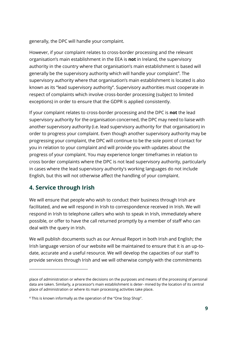generally, the DPC will handle your complaint.

However, if your complaint relates to cross-border processing and the relevant organisation's main establishment in the EEA is **not** in Ireland, the supervisory authority in the country where that organisation's main establishment is based will generally be the supervisory authority which will handle your complaint $^{\rm 4}$ . The supervisory authority where that organisation's main establishment is located is also known as its "lead supervisory authority". Supervisory authorities must cooperate in respect of complaints which involve cross-border processing (subject to limited exceptions) in order to ensure that the GDPR is applied consistently.

If your complaint relates to cross-border processing and the DPC is **not** the lead supervisory authority for the organisation concerned, the DPC may need to liaise with another supervisory authority (i.e. lead supervisory authority for that organisation) in order to progress your complaint. Even though another supervisory authority may be progressing your complaint, the DPC will continue to be the sole point of contact for you in relation to your complaint and will provide you with updates about the progress of your complaint. You may experience longer timeframes in relation to cross border complaints where the DPC is not lead supervisory authority, particularly in cases where the lead supervisory authority's working languages do not include English, but this will not otherwise affect the handling of your complaint.

# <span id="page-8-0"></span>**4. Service through Irish**

 $\overline{a}$ 

We will ensure that people who wish to conduct their business through Irish are facilitated, and we will respond in Irish to correspondence received in Irish. We will respond in Irish to telephone callers who wish to speak in Irish, immediately where possible, or offer to have the call returned promptly by a member of staff who can deal with the query in Irish.

We will publish documents such as our Annual Report in both Irish and English; the Irish language version of our website will be maintained to ensure that it is an up-todate, accurate and a useful resource. We will develop the capacities of our staff to provide services through Irish and we will otherwise comply with the commitments

place of administration or where the decisions on the purposes and means of the processing of personal data are taken. Similarly, a processor's main establishment is deter- mined by the location of its central place of administration or where its main processing activities take place.

<sup>4</sup> This is known informally as the operation of the "One Stop Shop".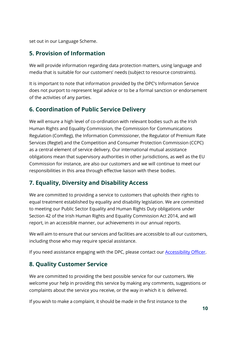set out in our Language Scheme.

## <span id="page-9-0"></span>**5. Provision of Information**

We will provide information regarding data protection matters, using language and media that is suitable for our customers' needs (subject to resource constraints).

It is important to note that information provided by the DPC's Information Service does not purport to represent legal advice or to be a formal sanction or endorsement of the activities of any parties.

# <span id="page-9-1"></span>**6. Coordination of Public Service Delivery**

We will ensure a high level of co-ordination with relevant bodies such as the Irish Human Rights and Equality Commission, the Commission for Communications Regulation (ComReg), the Information Commissioner, the Regulator of Premium Rate Services (Regtel) and the Competition and Consumer Protection Commission (CCPC) as a central element of service delivery. Our international mutual assistance obligations mean that supervisory authorities in other jurisdictions, as well as the EU Commission for instance, are also our customers and we will continue to meet our responsibilities in this area through effective liaison with these bodies.

# <span id="page-9-2"></span>**7. Equality, Diversity and Disability Access**

We are committed to providing a service to customers that upholds their rights to equal treatment established by equality and disability legislation. We are committed to meeting our Public Sector Equality and Human Rights Duty obligations under Section 42 of the Irish Human Rights and Equality Commission Act 2014, and will report, in an accessible manner, our achievements in our annual reports.

We will aim to ensure that our services and facilities are accessible to all our customers, including those who may require special assistance.

If you need assistance engaging with the DPC, please contact our **Accessibility Officer**.

# <span id="page-9-3"></span>**8. Quality Customer Service**

We are committed to providing the best possible service for our customers. We welcome your help in providing this service by making any comments, suggestions or complaints about the service you receive, or the way in which it is delivered.

If you wish to make a complaint, it should be made in the first instance to the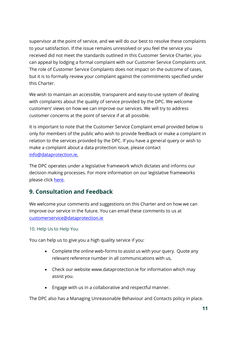supervisor at the point of service, and we will do our best to resolve these complaints to your satisfaction. If the issue remains unresolved or you feel the service you received did not meet the standards outlined in this Customer Service Charter, you can appeal by lodging a formal complaint with our Customer Service Complaints unit. The role of Customer Service Complaints does not impact on the outcome of cases, but it is to formally review your complaint against the commitments specified under this Charter.

We wish to maintain an accessible, transparent and easy-to-use system of dealing with complaints about the quality of service provided by the DPC. We welcome customers' views on how we can improve our services. We will try to address customer concerns at the point of service if at all possible.

It is important to note that the Customer Service Complaint email provided below is only for members of the public who wish to provide feedback or make a complaint in relation to the services provided by the DPC. If you have a general query or wish to make a complaint about a data protection issue, please contact [info@dataprotection.ie.](mailto:info@dataprotection.ie)

The DPC operates under a legislative framework which dictates and informs our decision making processes. For more information on our legislative frameworks please click [here.](https://dataprotection.ie/en/who-we-are/data-protection-legislation)

# <span id="page-10-0"></span>**9. Consultation and Feedback**

We welcome your comments and suggestions on this Charter and on how we can improve our service in the future. You can email these comments to us at [customerservice@dataprotection.ie](mailto:customerservice@dataprotection.ie)

## <span id="page-10-1"></span>10. Help Us to Help You

You can help us to give you a high quality service if you:

- Complete the online web-forms to assist us with your query. Quote any relevant reference number in all communications with us,
- [Check our website www.dataprotection.ie f](http://www.dataprotection.ie/)or information which may assist you.
- Engage with us in a collaborative and respectful manner.

The DPC also has a Managing Unreasonable Behaviour and Contacts policy in place.